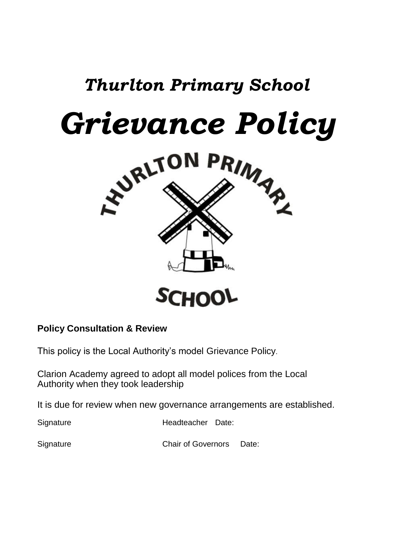# *Thurlton Primary School*



# **Policy Consultation & Review**

This policy is the Local Authority's model Grievance Policy.

Clarion Academy agreed to adopt all model polices from the Local Authority when they took leadership

It is due for review when new governance arrangements are established.

Signature Headteacher Date:

**Signature Chair of Governors** Date: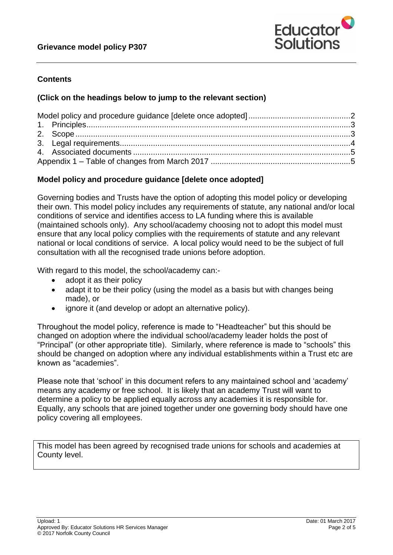

## **Contents**

#### **(Click on the headings below to jump to the relevant section)**

## <span id="page-1-0"></span>**Model policy and procedure guidance [delete once adopted]**

Governing bodies and Trusts have the option of adopting this model policy or developing their own. This model policy includes any requirements of statute, any national and/or local conditions of service and identifies access to LA funding where this is available (maintained schools only). Any school/academy choosing not to adopt this model must ensure that any local policy complies with the requirements of statute and any relevant national or local conditions of service. A local policy would need to be the subject of full consultation with all the recognised trade unions before adoption.

With regard to this model, the school/academy can:-

- adopt it as their policy
- adapt it to be their policy (using the model as a basis but with changes being made), or
- ignore it (and develop or adopt an alternative policy).

Throughout the model policy, reference is made to "Headteacher" but this should be changed on adoption where the individual school/academy leader holds the post of "Principal" (or other appropriate title). Similarly, where reference is made to "schools" this should be changed on adoption where any individual establishments within a Trust etc are known as "academies".

Please note that 'school' in this document refers to any maintained school and 'academy' means any academy or free school. It is likely that an academy Trust will want to determine a policy to be applied equally across any academies it is responsible for. Equally, any schools that are joined together under one governing body should have one policy covering all employees.

This model has been agreed by recognised trade unions for schools and academies at County level.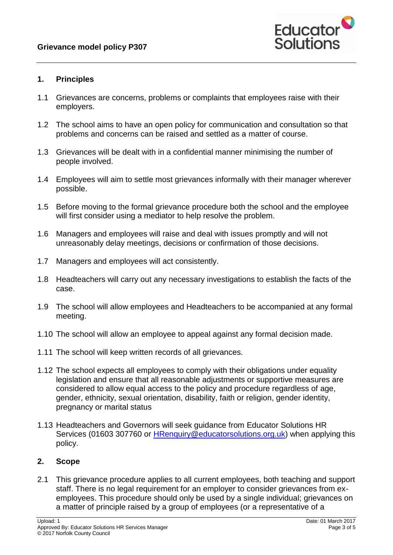

#### <span id="page-2-0"></span>**1. Principles**

- 1.1 Grievances are concerns, problems or complaints that employees raise with their employers.
- 1.2 The school aims to have an open policy for communication and consultation so that problems and concerns can be raised and settled as a matter of course.
- 1.3 Grievances will be dealt with in a confidential manner minimising the number of people involved.
- 1.4 Employees will aim to settle most grievances informally with their manager wherever possible.
- 1.5 Before moving to the formal grievance procedure both the school and the employee will first consider using a mediator to help resolve the problem.
- 1.6 Managers and employees will raise and deal with issues promptly and will not unreasonably delay meetings, decisions or confirmation of those decisions.
- 1.7 Managers and employees will act consistently.
- 1.8 Headteachers will carry out any necessary investigations to establish the facts of the case.
- 1.9 The school will allow employees and Headteachers to be accompanied at any formal meeting.
- 1.10 The school will allow an employee to appeal against any formal decision made.
- 1.11 The school will keep written records of all grievances.
- 1.12 The school expects all employees to comply with their obligations under equality legislation and ensure that all reasonable adjustments or supportive measures are considered to allow equal access to the policy and procedure regardless of age, gender, ethnicity, sexual orientation, disability, faith or religion, gender identity, pregnancy or marital status
- 1.13 Headteachers and Governors will seek guidance from Educator Solutions HR Services (01603 307760 or [HRenquiry@educatorsolutions.org.uk\)](mailto:HRenquiry@educatorsolutions.org.uk) when applying this policy.

#### <span id="page-2-1"></span>**2. Scope**

2.1 This grievance procedure applies to all current employees, both teaching and support staff. There is no legal requirement for an employer to consider grievances from exemployees. This procedure should only be used by a single individual; grievances on a matter of principle raised by a group of employees (or a representative of a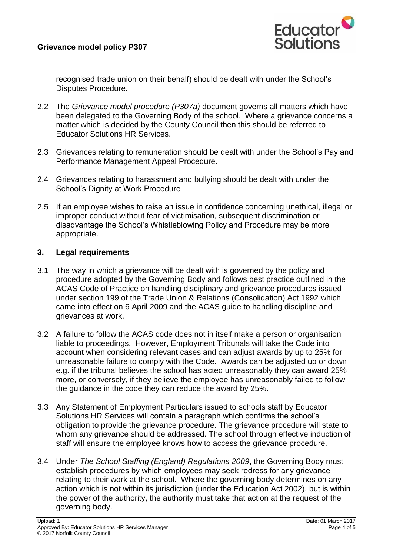

recognised trade union on their behalf) should be dealt with under the School's Disputes Procedure.

- 2.2 The *Grievance model procedure (P307a)* document governs all matters which have been delegated to the Governing Body of the school. Where a grievance concerns a matter which is decided by the County Council then this should be referred to Educator Solutions HR Services.
- 2.3 Grievances relating to remuneration should be dealt with under the School's Pay and Performance Management Appeal Procedure.
- 2.4 Grievances relating to harassment and bullying should be dealt with under the School's Dignity at Work Procedure
- 2.5 If an employee wishes to raise an issue in confidence concerning unethical, illegal or improper conduct without fear of victimisation, subsequent discrimination or disadvantage the School's Whistleblowing Policy and Procedure may be more appropriate.

#### <span id="page-3-0"></span>**3. Legal requirements**

- 3.1 The way in which a grievance will be dealt with is governed by the policy and procedure adopted by the Governing Body and follows best practice outlined in the ACAS Code of Practice on handling disciplinary and grievance procedures issued under section 199 of the Trade Union & Relations (Consolidation) Act 1992 which came into effect on 6 April 2009 and the ACAS guide to handling discipline and grievances at work.
- 3.2 A failure to follow the ACAS code does not in itself make a person or organisation liable to proceedings. However, Employment Tribunals will take the Code into account when considering relevant cases and can adjust awards by up to 25% for unreasonable failure to comply with the Code. Awards can be adjusted up or down e.g. if the tribunal believes the school has acted unreasonably they can award 25% more, or conversely, if they believe the employee has unreasonably failed to follow the guidance in the code they can reduce the award by 25%.
- 3.3 Any Statement of Employment Particulars issued to schools staff by Educator Solutions HR Services will contain a paragraph which confirms the school's obligation to provide the grievance procedure. The grievance procedure will state to whom any grievance should be addressed. The school through effective induction of staff will ensure the employee knows how to access the grievance procedure.
- 3.4 Under *The School Staffing (England) Regulations 2009*, the Governing Body must establish procedures by which employees may seek redress for any grievance relating to their work at the school. Where the governing body determines on any action which is not within its jurisdiction (under the Education Act 2002), but is within the power of the authority, the authority must take that action at the request of the governing body.